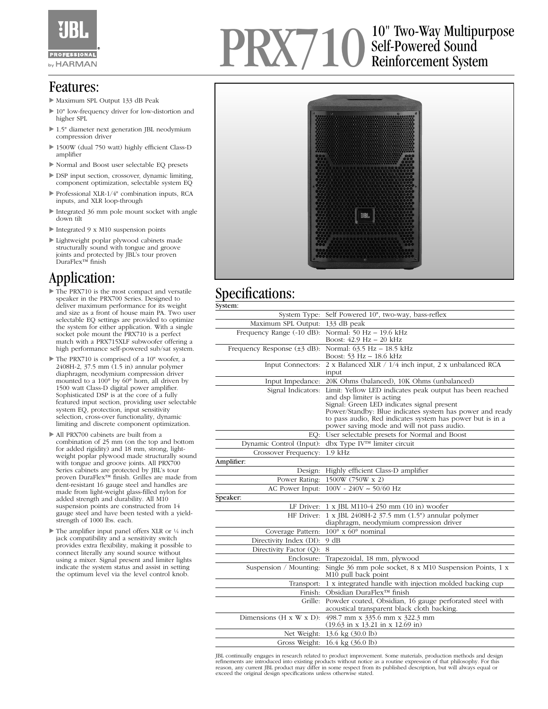

### Features:

- Maximum SPL Output 133 dB Peak
- ▶ 10" low-frequency driver for low-distortion and higher SPL
- ▶ 1.5" diameter next generation JBL neodymium compression driver
- ▶ 1500W (dual 750 watt) highly efficient Class-D amplifier
- Normal and Boost user selectable EQ presets
- DSP input section, crossover, dynamic limiting, component optimization, selectable system EQ
- Professional XLR-1/4" combination inputs, RCA inputs, and XLR loop-through
- Integrated 36 mm pole mount socket with angle down tilt
- Integrated 9 x M10 suspension points
- Lightweight poplar plywood cabinets made structurally sound with tongue and groove joints and protected by JBL's tour proven DuraFlex™ finish

# Application:

- The PRX710 is the most compact and versatile speaker in the PRX700 Series. Designed to deliver maximum performance for its weight and size as a front of house main PA. Two user selectable EQ settings are provided to optimize the system for either application. With a single socket pole mount the PRX710 is a perfect match with a PRX715XLF subwoofer offering a high performance self-powered sub/sat system.
- The PRX710 is comprised of a 10" woofer, a 2408H-2, 37.5 mm (1.5 in) annular polymer diaphragm, neodymium compression driver mounted to a 100° by 60° horn, all driven by 1500 watt Class-D digital power amplifier. Sophisticated DSP is at the core of a fully featured input section, providing user selectable system EQ, protection, input sensitivity selection, cross-over functionality, dynamic limiting and discrete component optimization.
- All PRX700 cabinets are built from a combination of 25 mm (on the top and bottom for added rigidity) and 18 mm, strong, lightweight poplar plywood made structurally sound with tongue and groove joints. All PRX700 Series cabinets are protected by JBL's tour proven DuraFlex™ finish. Grilles are made from dent-resistant 16 gauge steel and handles are made from light-weight glass-filled nylon for added strength and durability. All M10 suspension points are constructed from 14 gauge steel and have been tested with a yieldstrength of 1000 lbs. each.
- ▶ The amplifier input panel offers XLR or ¼ inch jack compatibility and a sensitivity switch provides extra flexibility, making it possible to connect literally any sound source without using a mixer. Signal present and limiter lights indicate the system status and assist in setting the optimum level via the level control knob.

## PRX710 10" Two-Way Multipurpose Self-Powered Sound Reinforcement System



## Specifications:

| System:                                   |                                                                                                                                                                                                                                                                                                            |
|-------------------------------------------|------------------------------------------------------------------------------------------------------------------------------------------------------------------------------------------------------------------------------------------------------------------------------------------------------------|
| System Type:                              | Self Powered 10", two-way, bass-reflex                                                                                                                                                                                                                                                                     |
| Maximum SPL Output:                       | 133 dB peak                                                                                                                                                                                                                                                                                                |
| Frequency Range (-10 dB):                 | Normal: 50 Hz - 19.6 kHz<br>Boost: 42.9 Hz - 20 kHz                                                                                                                                                                                                                                                        |
| Frequency Response $(\pm 3 \text{ dB})$ : | Normal: 63.5 Hz - 18.5 kHz<br>Boost: 53 Hz - 18.6 kHz                                                                                                                                                                                                                                                      |
| Input Connectors:                         | 2 x Balanced XLR / 1/4 inch input, 2 x unbalanced RCA<br>input                                                                                                                                                                                                                                             |
| Input Impedance:                          | 20K Ohms (balanced), 10K Ohms (unbalanced)                                                                                                                                                                                                                                                                 |
| Signal Indicators:                        | Limit: Yellow LED indicates peak output has been reached<br>and dsp limiter is acting<br>Signal: Green LED indicates signal present<br>Power/Standby: Blue indicates system has power and ready<br>to pass audio, Red indicates system has power but is in a<br>power saving mode and will not pass audio. |
| EQ:                                       | User selectable presets for Normal and Boost                                                                                                                                                                                                                                                               |
| Dynamic Control (Input):                  | dbx Type IV™ limiter circuit                                                                                                                                                                                                                                                                               |
| Crossover Frequency:                      | $1.9$ kHz                                                                                                                                                                                                                                                                                                  |
| Amplifier:                                |                                                                                                                                                                                                                                                                                                            |
| Design:                                   | Highly efficient Class-D amplifier                                                                                                                                                                                                                                                                         |
| Power Rating:                             | 1500W (750W x 2)                                                                                                                                                                                                                                                                                           |
| AC Power Input:                           | $100V - 240V \sim 50/60$ Hz                                                                                                                                                                                                                                                                                |
| Speaker:                                  |                                                                                                                                                                                                                                                                                                            |
| LF Driver:                                | 1 x JBL M110-4 250 mm (10 in) woofer                                                                                                                                                                                                                                                                       |
| HF Driver:                                | 1 x JBL 2408H-2 37.5 mm (1.5") annular polymer<br>diaphragm, neodymium compression driver                                                                                                                                                                                                                  |
| Coverage Pattern:                         | $100^{\circ}$ x 60° nominal                                                                                                                                                                                                                                                                                |
| Directivity Index (DI):                   | 9 dB                                                                                                                                                                                                                                                                                                       |
| Directivity Factor (Q):                   | 8                                                                                                                                                                                                                                                                                                          |
| Enclosure:                                | Trapezoidal, 18 mm, plywood                                                                                                                                                                                                                                                                                |
| Suspension / Mounting:                    | Single 36 mm pole socket, 8 x M10 Suspension Points, 1 x<br>M <sub>10</sub> pull back point                                                                                                                                                                                                                |
| Transport:                                | 1 x integrated handle with injection molded backing cup                                                                                                                                                                                                                                                    |
|                                           | Finish: Obsidian DuraFlex™ finish                                                                                                                                                                                                                                                                          |
| Grille:                                   | Powder coated, Obsidian, 16 gauge perforated steel with<br>acoustical transparent black cloth backing.                                                                                                                                                                                                     |
| Dimensions $(H \times W \times D)$ :      | 498.7 mm x 335.6 mm x 322.3 mm<br>$(19.63 \text{ in } x 13.21 \text{ in } x 12.69 \text{ in})$                                                                                                                                                                                                             |
|                                           | Net Weight: 13.6 kg (30.0 lb)                                                                                                                                                                                                                                                                              |
|                                           | Gross Weight: 16.4 kg (36.0 lb)                                                                                                                                                                                                                                                                            |

JBL continually engages in research related to product improvement. Some materials, production methods and design<br>refinements are introduced into existing products without notice as a routine expression of that philosophy. reason, any current JBL product may differ in some respect from its published description, but will always equal or exceed the original design specifications unless otherwise stated.